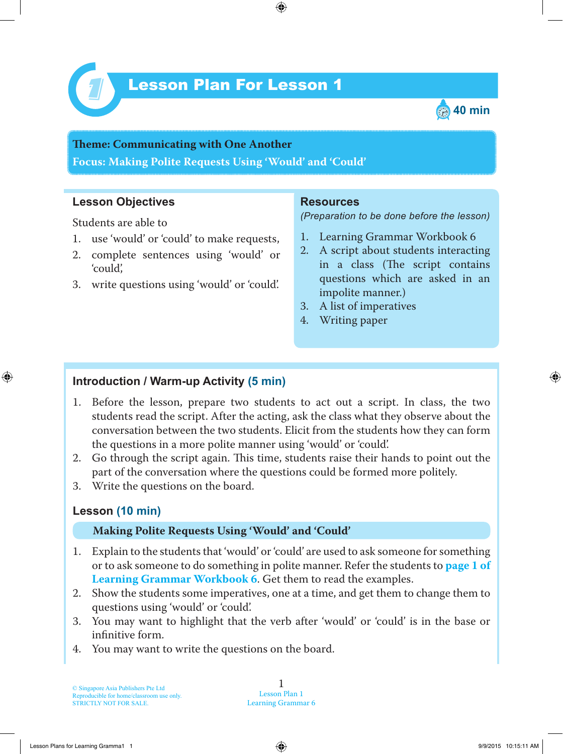



**Theme: Communicating with One Another Focus: Making Polite Requests Using 'Would' and 'Could'**

### **Lesson Objectives**

Students are able to

- 1. use 'would' or 'could' to make requests,
- 2. complete sentences using 'would' or 'could',
- 3. write questions using 'would' or 'could'.

#### **Resources**

*(Preparation to be done before the lesson)*

- 1. Learning Grammar Workbook 6
- 2. A script about students interacting in a class (The script contains questions which are asked in an impolite manner.)
- 3. A list of imperatives
- 4. Writing paper

### **Introduction / Warm-up Activity (5 min)**

- 1. Before the lesson, prepare two students to act out a script. In class, the two students read the script. After the acting, ask the class what they observe about the conversation between the two students. Elicit from the students how they can form the questions in a more polite manner using 'would' or 'could'.
- 2. Go through the script again. This time, students raise their hands to point out the part of the conversation where the questions could be formed more politely.
- 3. Write the questions on the board.

## **Lesson (10 min)**

#### **Making Polite Requests Using 'Would' and 'Could'**

- 1 . Explain to the students that 'would' or 'could' are used to ask someone for something or to ask someone to do something in polite manner. Refer the students to **page 1 of Learning Grammar Workbook 6** . Get them to read the examples.
- 2. Show the students some imperatives, one at a time, and get them to change them to questions using 'would' or 'could'.
- 3. You may want to highlight that the verb after 'would' or 'could' is in the base or infinitive form.
- 4. You may want to write the questions on the board.